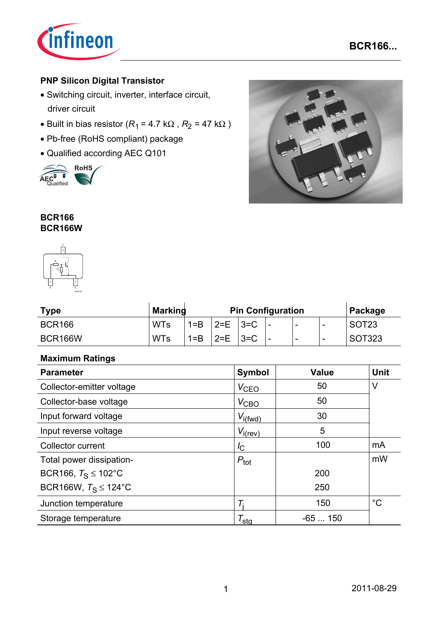

### **PNP Silicon Digital Transistor**

- Switching circuit, inverter, interface circuit, driver circuit
- Built in bias resistor ( $R_1$  = 4.7 k $\Omega$ ,  $R_2$  = 47 k $\Omega$ )
- Pb-free (RoHS compliant) package
- Qualified according AEC Q101





#### **BCR166 BCR166W**



| <b>Type</b>    | <b>Marking</b> | <b>Pin Configuration</b> |         |         |                          | Package |                          |                   |
|----------------|----------------|--------------------------|---------|---------|--------------------------|---------|--------------------------|-------------------|
| <b>BCR166</b>  | <b>WTs</b>     | $1 = B$                  | $2=$ F  | $13=$ C | -                        | -       | $\overline{\phantom{0}}$ | SOT <sub>23</sub> |
| <b>BCR166W</b> | <b>WTs</b>     | $1 = B$                  | $2 = E$ | $3 = C$ | $\overline{\phantom{0}}$ | -       | $\overline{\phantom{0}}$ | SOT323            |

# **Maximum Ratings**

| <b>Parameter</b>                | <b>Symbol</b>       | <b>Value</b> | <b>Unit</b> |
|---------------------------------|---------------------|--------------|-------------|
| Collector-emitter voltage       | V <sub>CEO</sub>    | 50           | V           |
| Collector-base voltage          | $V_{\text{CBO}}$    | 50           |             |
| Input forward voltage           | $V_{i(fwd)}$        | 30           |             |
| Input reverse voltage           | $V_{i(rev)}$        | 5            |             |
| <b>Collector current</b>        | $I_{\rm C}$         | 100          | mA          |
| Total power dissipation-        | $P_{\text{tot}}$    |              | mW          |
| BCR166, $T_S \le 102^{\circ}$ C |                     | 200          |             |
| BCR166W, $T_S \le 124$ °C       |                     | 250          |             |
| Junction temperature            |                     | 150          | $^{\circ}C$ |
| Storage temperature             | $\tau_{\text{stg}}$ | $-65150$     |             |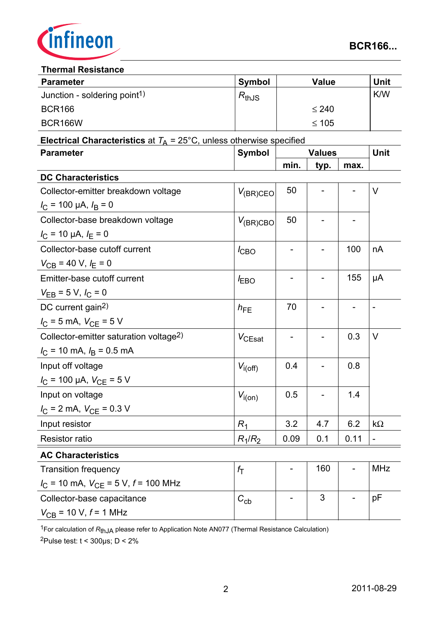

#### **Thermal Resistance**

| <b>Parameter</b>                         | <b>Symbol</b> | Value      | <b>Unit</b> |  |  |  |
|------------------------------------------|---------------|------------|-------------|--|--|--|
| Junction - soldering point <sup>1)</sup> | $R_{thJS}$    |            | <b>K/W</b>  |  |  |  |
| <b>BCR166</b>                            |               | $\leq 240$ |             |  |  |  |
| BCR166W                                  |               | $\leq 105$ |             |  |  |  |

# **Electrical Characteristics** at  $T_A = 25^{\circ}$ C, unless otherwise specified

| <b>Parameter</b>                                       | <b>Symbol</b>    |                              | <b>Values</b> |      | Unit                         |
|--------------------------------------------------------|------------------|------------------------------|---------------|------|------------------------------|
|                                                        |                  | min.                         | typ.          | max. |                              |
| <b>DC Characteristics</b>                              |                  |                              |               |      |                              |
| Collector-emitter breakdown voltage                    | $V_{(BR)CEO}$    | 50                           |               |      | V                            |
| $I_C$ = 100 µA, $I_B$ = 0                              |                  |                              |               |      |                              |
| Collector-base breakdown voltage                       | $V_{(BR)CBO}$    | 50                           |               |      |                              |
| $I_{\rm C}$ = 10 µA, $I_{\rm E}$ = 0                   |                  |                              |               |      |                              |
| Collector-base cutoff current                          | $I_{CBO}$        |                              |               | 100  | nA                           |
| $V_{CB}$ = 40 V, $I_E$ = 0                             |                  |                              |               |      |                              |
| Emitter-base cutoff current                            | $I_{EBO}$        | $\overline{\phantom{a}}$     |               | 155  | μA                           |
| $V_{EB} = 5 V, I_C = 0$                                |                  |                              |               |      |                              |
| DC current gain <sup>2)</sup>                          | $h_{FE}$         | 70                           |               |      | $\qquad \qquad \blacksquare$ |
| $I_{\rm C}$ = 5 mA, $V_{\rm CE}$ = 5 V                 |                  |                              |               |      |                              |
| Collector-emitter saturation voltage <sup>2)</sup>     | $V_{CEsat}$      | $\qquad \qquad \blacksquare$ |               | 0.3  | $\vee$                       |
| $I_{\rm C}$ = 10 mA, $I_{\rm B}$ = 0.5 mA              |                  |                              |               |      |                              |
| Input off voltage                                      | $V_{i(off)}$     | 0.4                          |               | 0.8  |                              |
| $I_{\rm C}$ = 100 µA, $V_{\rm CE}$ = 5 V               |                  |                              |               |      |                              |
| Input on voltage                                       | $V_{i(on)}$      | 0.5                          |               | 1.4  |                              |
| $I_{\rm C}$ = 2 mA, $V_{\rm CE}$ = 0.3 V               |                  |                              |               |      |                              |
| Input resistor                                         | $R_1$            | 3.2                          | 4.7           | 6.2  | $k\Omega$                    |
| <b>Resistor ratio</b>                                  | $R_1/R_2$        | 0.09                         | 0.1           | 0.11 |                              |
| <b>AC Characteristics</b>                              |                  |                              |               |      |                              |
| <b>Transition frequency</b>                            | $f_{\mathsf{T}}$ |                              | 160           |      | <b>MHz</b>                   |
| $I_{\rm C}$ = 10 mA, $V_{\rm CE}$ = 5 V, $f$ = 100 MHz |                  |                              |               |      |                              |
| Collector-base capacitance                             | $C_{\rm cb}$     |                              | 3             |      | pF                           |
| $V_{CB}$ = 10 V, $f$ = 1 MHz                           |                  |                              |               |      |                              |

1For calculation of *R*thJA please refer to Application Note AN077 (Thermal Resistance Calculation)

 $2$ Pulse test:  $t < 300 \mu s$ ; D < 2%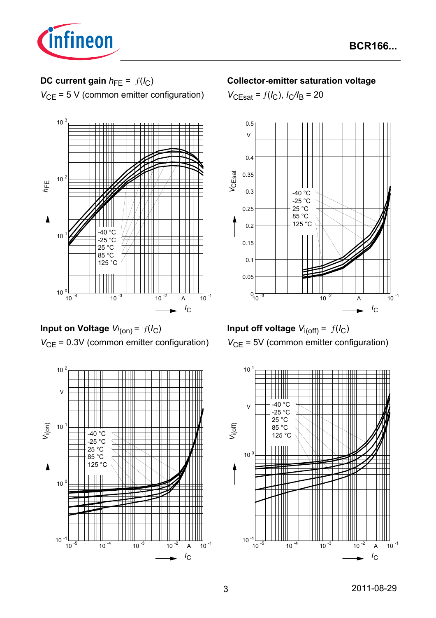

# **DC current gain**  $h_{FE} = f(l_C)$

*V*<sub>CE</sub> = 5 V (common emitter configuration)



**Input on Voltage** *Vi* (on) = ƒ(*I*C) *V*<sub>CE</sub> = 0.3V (common emitter configuration)



### **Collector-emitter saturation voltage**

 $V_{\text{CEsat}} = f(I_{\text{C}}), I_{\text{C}}/I_{\text{B}} = 20$ 



**Input off voltage**  $V_{i(off)} = f(I_C)$ *V*<sub>CE</sub> = 5V (common emitter configuration)

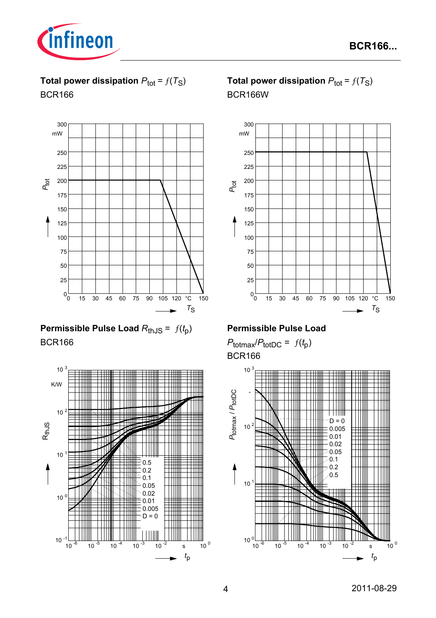

**Total power dissipation**  $P_{\text{tot}} = f(T_S)$ BCR166



# **Permissible Pulse Load**  $R_{th,JS} = f(t_p)$ BCR166



# **Total power dissipation**  $P_{\text{tot}} = f(T_S)$ BCR166W



# **Permissible Pulse Load**

 $P_{\text{totmax}}/P_{\text{totDC}} = f(t_p)$ BCR166

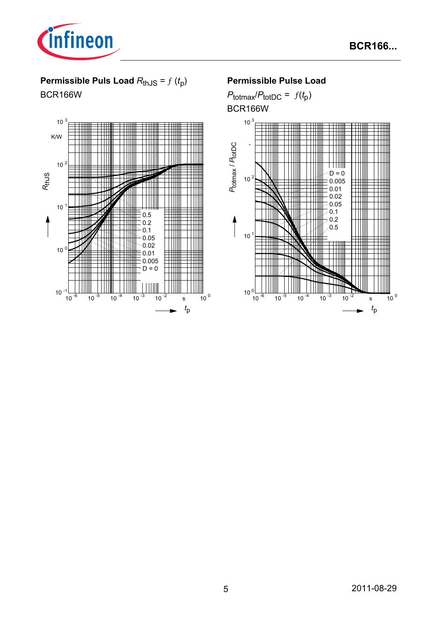

# **Permissible Puls Load**  $R_{th,JS} = f(t_p)$

BCR166W



### **Permissible Pulse Load**

 $P_{\text{totmax}}/P_{\text{totDC}} = f(t_p)$ BCR166W

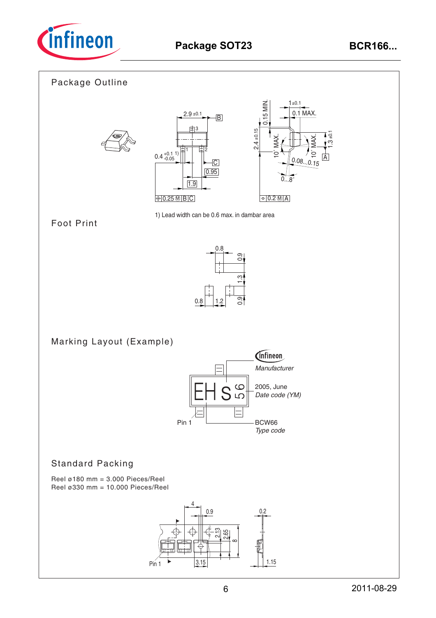

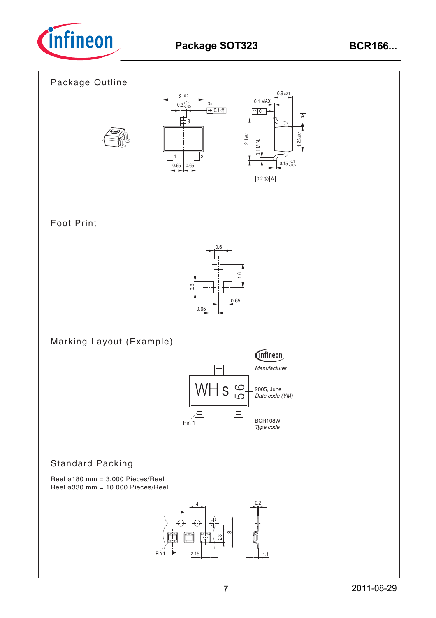